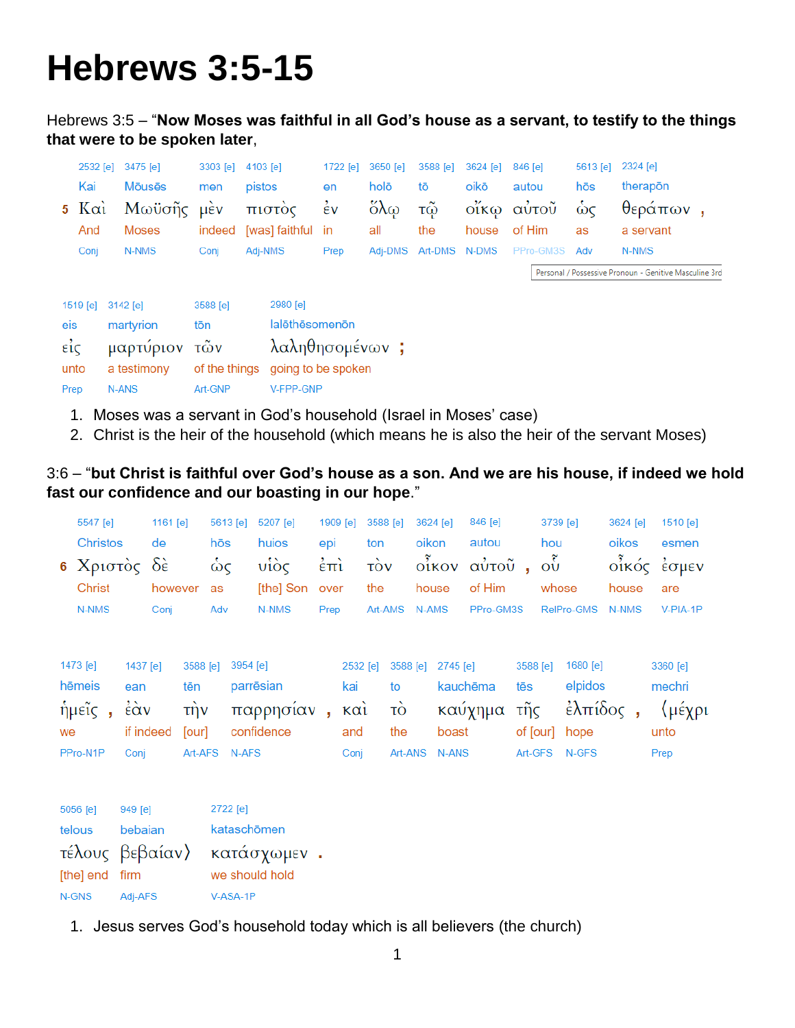# **Hebrews 3:5-15**

Hebrews 3:5 – "**Now Moses was faithful in all God's house as a servant, to testify to the things that were to be spoken later**,

|                   | 2532 [e]      | 3475 [e]       | 3303 [e]      | 4103 [e]           | 1722 [e]           | 3650 [e]              | 3588 [e] | 3624 [e] | 846 [e]   | 5613 [e] | 2324 [e]                                               |  |
|-------------------|---------------|----------------|---------------|--------------------|--------------------|-----------------------|----------|----------|-----------|----------|--------------------------------------------------------|--|
|                   | Kai           | <b>M</b> ouses | men           | pistos             | en                 | holō                  | tō       | oikō     | autou     | hōs      | therapon                                               |  |
|                   | $5 K\alpha i$ | Μωϋσῆς         | <b>LIEV</b>   | πιστός             | $\dot{\epsilon}$ v | $\delta\lambda\omega$ | τŵ       | οἴκω     | αύτοῦ     | $\omega$ | $θ$ εράπων,                                            |  |
|                   | And           | <b>Moses</b>   | indeed        | [was] faithful     | in                 | all                   | the      | house    | of Him    | as       | a servant                                              |  |
|                   | Conj          | N-NMS          | Conj          | Adj-NMS            | Prep               | Adi-DMS               | Art-DMS  | N-DMS    | PPro-GM3S | Adv      | N-NMS                                                  |  |
|                   |               |                |               |                    |                    |                       |          |          |           |          | Personal / Possessive Pronoun - Genitive Masculine 3rd |  |
|                   |               |                |               |                    |                    |                       |          |          |           |          |                                                        |  |
|                   | 1519 [e]      | $3142$ [e]     | 3588 [e]      | 2980 [e]           |                    |                       |          |          |           |          |                                                        |  |
| eis               |               | martyrion      | tōn           | lalēthēsomenōn     |                    |                       |          |          |           |          |                                                        |  |
| $\epsilon i\zeta$ |               | μαρτύριον      | τῶν           | λαληθησομένων;     |                    |                       |          |          |           |          |                                                        |  |
|                   | unto          | a testimony    | of the things | going to be spoken |                    |                       |          |          |           |          |                                                        |  |
| Prep              |               | <b>N-ANS</b>   | Art-GNP       | V-FPP-GNP          |                    |                       |          |          |           |          |                                                        |  |

- 1. Moses was a servant in God's household (Israel in Moses' case)
- 2. Christ is the heir of the household (which means he is also the heir of the servant Moses)

#### 3:6 – "**but Christ is faithful over God's house as a son. And we are his house, if indeed we hold fast our confidence and our boasting in our hope**."

| 5547 [e]                                                 | 1161 [e] |     |            |  | 5613 [e] 5207 [e] 1909 [e] 3588 [e] 3624 [e] 846 [e] 3739 [e] | 3624 [e] 1510 [e] |  |
|----------------------------------------------------------|----------|-----|------------|--|---------------------------------------------------------------|-------------------|--|
| Christos de                                              |          |     |            |  | hōs huios epi ton oikon autou hou                             | oikos esmen       |  |
| 6 Χριστός δε ως υίος επι τον οίκον αύτου, ού οίκός έσμεν |          |     |            |  |                                                               |                   |  |
| Christ                                                   |          |     |            |  |                                                               | house are         |  |
| N-NMS                                                    | Conj     | Adv | N-NMS Prep |  | Art-AMS N-AMS PPro-GM3S RelPro-GMS N-NMS V-PIA-1P             |                   |  |

| 1473 [e] 1437 [e] |  | 3588 [e] 3954 [e]                                            |  | 2532 [e] 3588 [e] 2745 [e] 3588 [e] 1680 [e] |  | 3360 [e] |
|-------------------|--|--------------------------------------------------------------|--|----------------------------------------------|--|----------|
|                   |  | hēmeis ean tēn parrēsian kai to kauchēma tēs elpidos         |  |                                              |  | mechri   |
|                   |  | ήμεῖς, ἐὰν τὴν παρρησίαν, καὶ τὸ καύχημα τῆς ἐλπίδος, 〈μέχρι |  |                                              |  |          |
|                   |  | we if indeed [our] confidence and the boast of [our] hope    |  |                                              |  | unto     |
|                   |  | PPro-N1P Conj Art-AFS N-AFS                                  |  | Conj Art-ANS N-ANS Art-GFS N-GFS             |  | Prep     |

| 5056 [e]       | 949 [e] | 2722 [e]                    |
|----------------|---------|-----------------------------|
| telous         | bebaian | kataschömen                 |
|                |         | τέλους βεβαίαν) κατάσχωμεν. |
| [the] end firm |         | we should hold              |
| N-GNS          | Adj-AFS | V-ASA-1P                    |

1. Jesus serves God's household today which is all believers (the church)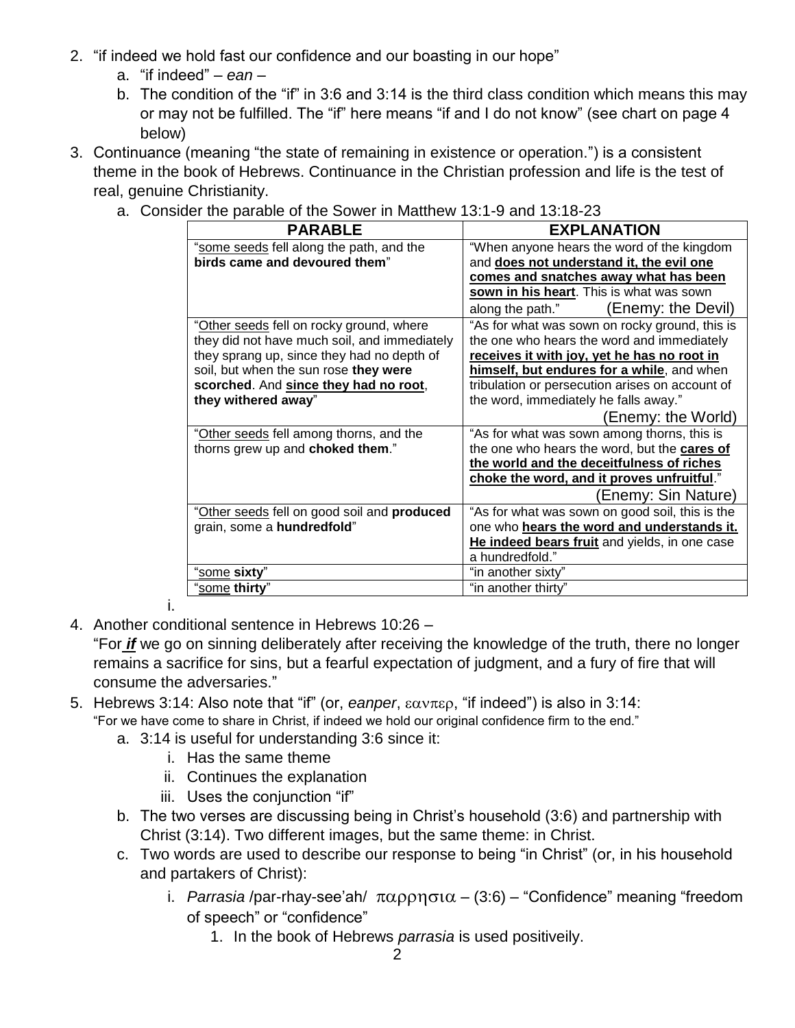- 2. "if indeed we hold fast our confidence and our boasting in our hope"
	- a. "if indeed" *ean* –
	- b. The condition of the "if" in 3:6 and 3:14 is the third class condition which means this may or may not be fulfilled. The "if" here means "if and I do not know" (see chart on page 4 below)
- 3. Continuance (meaning "the state of remaining in existence or operation.") is a consistent theme in the book of Hebrews. Continuance in the Christian profession and life is the test of real, genuine Christianity.
	- a. Consider the parable of the Sower in Matthew 13:1-9 and 13:18-23

| <b>PARABLE</b>                               | <b>EXPLANATION</b>                              |
|----------------------------------------------|-------------------------------------------------|
| "some seeds fell along the path, and the     | "When anyone hears the word of the kingdom      |
| birds came and devoured them"                | and does not understand it, the evil one        |
|                                              | comes and snatches away what has been           |
|                                              | sown in his heart. This is what was sown        |
|                                              | (Enemy: the Devil)<br>along the path."          |
| "Other seeds fell on rocky ground, where     | "As for what was sown on rocky ground, this is  |
| they did not have much soil, and immediately | the one who hears the word and immediately      |
| they sprang up, since they had no depth of   | receives it with joy, yet he has no root in     |
| soil, but when the sun rose they were        | himself, but endures for a while, and when      |
| scorched. And since they had no root,        | tribulation or persecution arises on account of |
| they withered away"                          | the word, immediately he falls away."           |
|                                              | (Enemy: the World)                              |
| "Other seeds fell among thorns, and the      | "As for what was sown among thorns, this is     |
| thorns grew up and choked them."             | the one who hears the word, but the cares of    |
|                                              | the world and the deceitfulness of riches       |
|                                              | choke the word, and it proves unfruitful."      |
|                                              | (Enemy: Sin Nature)                             |
| "Other seeds fell on good soil and produced  | "As for what was sown on good soil, this is the |
| grain, some a hundredfold"                   | one who hears the word and understands it.      |
|                                              | He indeed bears fruit and yields, in one case   |
|                                              | a hundredfold."                                 |
| "some sixty"                                 | "in another sixty"                              |
| "some thirty"                                | "in another thirty"                             |

i.

4. Another conditional sentence in Hebrews 10:26 –

"For *if* we go on sinning deliberately after receiving the knowledge of the truth, there no longer remains a sacrifice for sins, but a fearful expectation of judgment, and a fury of fire that will consume the adversaries."

- 5. Hebrews 3:14: Also note that "if" (or, *eanper*,  $\epsilon \alpha v \pi \epsilon \rho$ , "if indeed") is also in 3:14: "For we have come to share in Christ, if indeed we hold our original confidence firm to the end."
	- a. 3:14 is useful for understanding 3:6 since it:
		- i. Has the same theme
		- ii. Continues the explanation
		- iii. Uses the conjunction "if"
	- b. The two verses are discussing being in Christ's household (3:6) and partnership with Christ (3:14). Two different images, but the same theme: in Christ.
	- c. Two words are used to describe our response to being "in Christ" (or, in his household and partakers of Christ):
		- i. *Parrasia* /par-rhay-see'ah/  $\pi\alpha\rho\rho\eta\sigma\iota\alpha (3.6)$  "Confidence" meaning "freedom of speech" or "confidence"
			- 1. In the book of Hebrews *parrasia* is used positiveily.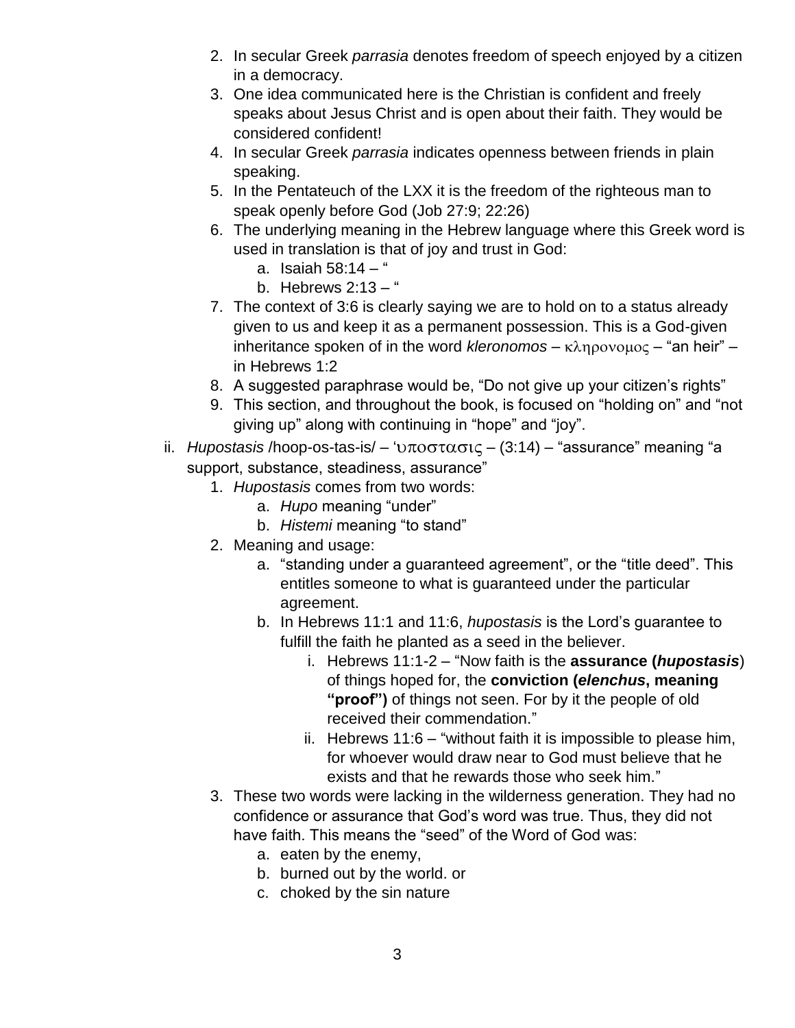- 2. In secular Greek *parrasia* denotes freedom of speech enjoyed by a citizen in a democracy.
- 3. One idea communicated here is the Christian is confident and freely speaks about Jesus Christ and is open about their faith. They would be considered confident!
- 4. In secular Greek *parrasia* indicates openness between friends in plain speaking.
- 5. In the Pentateuch of the LXX it is the freedom of the righteous man to speak openly before God (Job 27:9; 22:26)
- 6. The underlying meaning in the Hebrew language where this Greek word is used in translation is that of joy and trust in God:
	- a. Isaiah  $58:14 4$
	- b. Hebrews  $2:13 -$ "
- 7. The context of 3:6 is clearly saying we are to hold on to a status already given to us and keep it as a permanent possession. This is a God-given inheritance spoken of in the word *kleronomos* –  $\kappa \lambda \eta \rho o \nu o \mu o \varsigma$  – "an heir" – in Hebrews 1:2
- 8. A suggested paraphrase would be, "Do not give up your citizen's rights"
- 9. This section, and throughout the book, is focused on "holding on" and "not giving up" along with continuing in "hope" and "joy".
- ii. *Hupostasis* /hoop-os-tas-is/  $-$  ' $\nu \pi$ o $\sigma \tau \alpha \sigma \iota \zeta (3.14)$  "assurance" meaning "a support, substance, steadiness, assurance"
	- 1. *Hupostasis* comes from two words:
		- a. *Hupo* meaning "under"
		- b. *Histemi* meaning "to stand"
	- 2. Meaning and usage:
		- a. "standing under a guaranteed agreement", or the "title deed". This entitles someone to what is guaranteed under the particular agreement.
		- b. In Hebrews 11:1 and 11:6, *hupostasis* is the Lord's guarantee to fulfill the faith he planted as a seed in the believer.
			- i. Hebrews 11:1-2 "Now faith is the **assurance (***hupostasis*) of things hoped for, the **conviction (***elenchus***, meaning "proof")** of things not seen. For by it the people of old received their commendation."
			- ii. Hebrews 11:6 "without faith it is impossible to please him, for whoever would draw near to God must believe that he exists and that he rewards those who seek him."
	- 3. These two words were lacking in the wilderness generation. They had no confidence or assurance that God's word was true. Thus, they did not have faith. This means the "seed" of the Word of God was:
		- a. eaten by the enemy,
		- b. burned out by the world. or
		- c. choked by the sin nature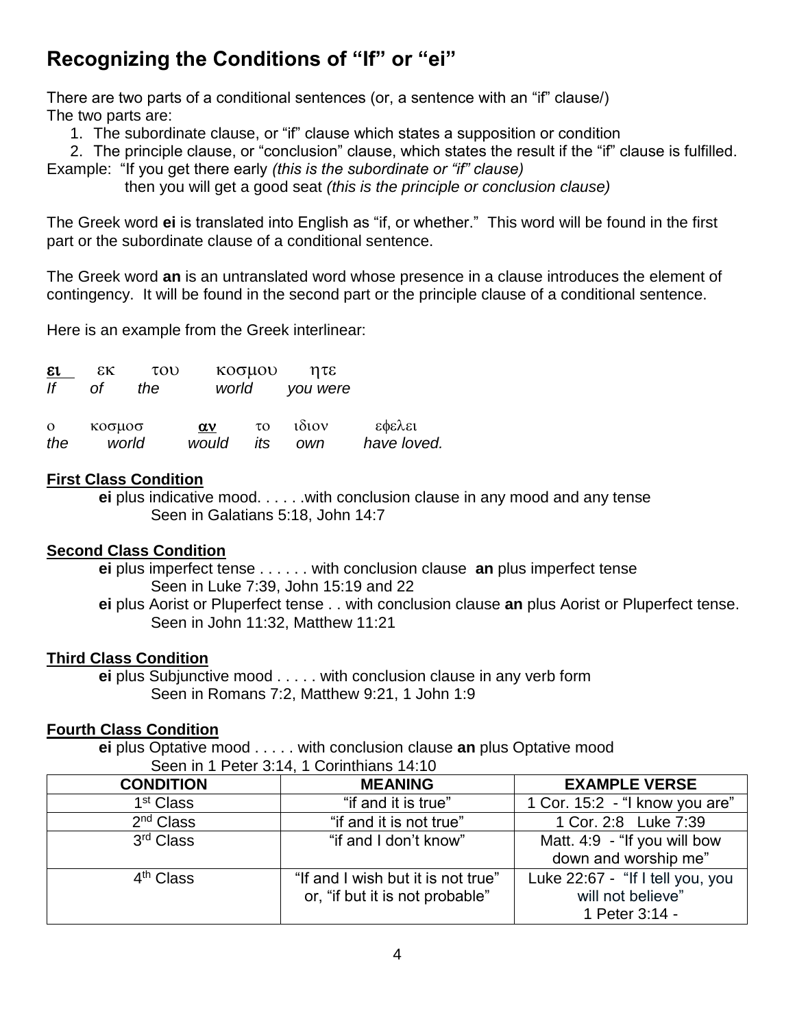# **Recognizing the Conditions of "If" or "ei"**

There are two parts of a conditional sentences (or, a sentence with an "if" clause/) The two parts are:

1. The subordinate clause, or "if" clause which states a supposition or condition

2. The principle clause, or "conclusion" clause, which states the result if the "if" clause is fulfilled. Example: "If you get there early *(this is the subordinate or "if" clause)*

then you will get a good seat *(this is the principle or conclusion clause)*

The Greek word **ei** is translated into English as "if, or whether." This word will be found in the first part or the subordinate clause of a conditional sentence.

The Greek word **an** is an untranslated word whose presence in a clause introduces the element of contingency. It will be found in the second part or the principle clause of a conditional sentence.

Here is an example from the Greek interlinear:

| ει<br>lf | εĸ<br>Οf | του<br>the | world      | κοσμου | ητε<br>you were |             |
|----------|----------|------------|------------|--------|-----------------|-------------|
| $\Omega$ | κοσμοσ   |            | $\alpha v$ | τo     | $1\delta$ 10V   | εφελει      |
| the      | world    |            | would      | its    | own             | have loved. |

#### **First Class Condition**

 **ei** plus indicative mood. . . . . .with conclusion clause in any mood and any tense Seen in Galatians 5:18, John 14:7

## **Second Class Condition**

 **ei** plus imperfect tense . . . . . . with conclusion clause **an** plus imperfect tense Seen in Luke 7:39, John 15:19 and 22

 **ei** plus Aorist or Pluperfect tense . . with conclusion clause **an** plus Aorist or Pluperfect tense. Seen in John 11:32, Matthew 11:21

## **Third Class Condition**

 **ei** plus Subjunctive mood . . . . . with conclusion clause in any verb form Seen in Romans 7:2, Matthew 9:21, 1 John 1:9

## **Fourth Class Condition**

 **ei** plus Optative mood . . . . . with conclusion clause **an** plus Optative mood Seen in 1 Peter 3:14, 1 Corinthians 14:10

| <b>CONDITION</b>      | <b>MEANING</b>                                                        | <b>EXAMPLE VERSE</b>                                                    |  |  |  |
|-----------------------|-----------------------------------------------------------------------|-------------------------------------------------------------------------|--|--|--|
| 1 <sup>st</sup> Class | "if and it is true"                                                   | 1 Cor. 15:2 - "I know you are"                                          |  |  |  |
| 2 <sup>nd</sup> Class | "if and it is not true"                                               | 1 Cor. 2:8 Luke 7:39                                                    |  |  |  |
| 3 <sup>rd</sup> Class | "if and I don't know"                                                 | Matt. 4:9 - "If you will bow<br>down and worship me"                    |  |  |  |
| 4 <sup>th</sup> Class | "If and I wish but it is not true"<br>or, "if but it is not probable" | Luke 22:67 - "If I tell you, you<br>will not believe"<br>1 Peter 3:14 - |  |  |  |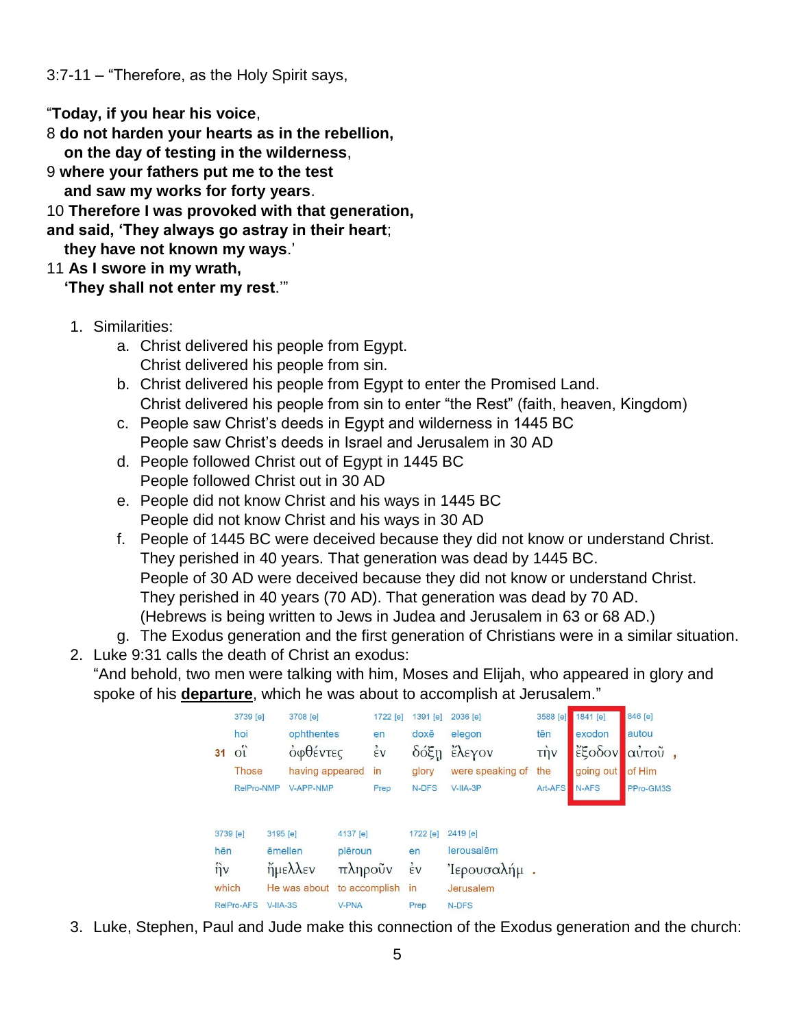3:7-11 – "Therefore, as the Holy Spirit says,

"**Today, if you hear his voice**,

8 **do not harden your hearts as in the rebellion,**

 **on the day of testing in the wilderness**,

9 **where your fathers put me to the test**

 **and saw my works for forty years**.

10 **Therefore I was provoked with that generation,**

**and said, 'They always go astray in their heart**;

 **they have not known my ways**.'

11 **As I swore in my wrath,**

 **'They shall not enter my rest**.'"

- 1. Similarities:
	- a. Christ delivered his people from Egypt. Christ delivered his people from sin.
	- b. Christ delivered his people from Egypt to enter the Promised Land. Christ delivered his people from sin to enter "the Rest" (faith, heaven, Kingdom)
	- c. People saw Christ's deeds in Egypt and wilderness in 1445 BC People saw Christ's deeds in Israel and Jerusalem in 30 AD
	- d. People followed Christ out of Egypt in 1445 BC People followed Christ out in 30 AD
	- e. People did not know Christ and his ways in 1445 BC People did not know Christ and his ways in 30 AD
	- f. People of 1445 BC were deceived because they did not know or understand Christ. They perished in 40 years. That generation was dead by 1445 BC. People of 30 AD were deceived because they did not know or understand Christ. They perished in 40 years (70 AD). That generation was dead by 70 AD. (Hebrews is being written to Jews in Judea and Jerusalem in 63 or 68 AD.)

g. The Exodus generation and the first generation of Christians were in a similar situation.

2. Luke 9:31 calls the death of Christ an exodus: "And behold, two men were talking with him, Moses and Elijah, who appeared in glory and

spoke of his **departure**, which he was about to accomplish at Jerusalem."

|              | 3739 [e]          |            | 3708 [e]         |               | 1722 [e]           | 1391 [e]           | 2036 [e]         | 3588 [e]        | 1841 [e]  | 846 [e]   |
|--------------|-------------------|------------|------------------|---------------|--------------------|--------------------|------------------|-----------------|-----------|-----------|
|              | hoi               |            | ophthentes       |               | en                 | doxē               | elegon           | tēn             | exodon    | autou     |
| 31           | $o_i$             |            | οφθέντες         |               | $\dot{\epsilon}$ v | δόξη               | έλεγον           | $\tau \eta \nu$ | έξοδον    | αὐτοῦ     |
|              | <b>Those</b>      |            | having appeared  |               | in                 | glory              | were speaking of | the             | going out | of Him    |
|              | RelPro-NMP        |            | <b>V-APP-NMP</b> |               | Prep               | N-DFS              | $V-IIA-3P$       | Art-AFS         | N-AFS     | PPro-GM3S |
|              |                   |            |                  |               |                    |                    |                  |                 |           |           |
|              |                   |            |                  |               |                    |                    |                  |                 |           |           |
| 3739 [e]     |                   | 3195 [e]   |                  | 4137 [e]      |                    | 1722 [e]           | 2419 [e]         |                 |           |           |
| hēn          |                   | ēmellen    |                  | plēroun       |                    | en                 | lerousalēm       |                 |           |           |
| $\hat{\eta}$ |                   |            | $\eta$ μελλεν    | πληροῦν       |                    | $\dot{\epsilon}$ v | 'Ιερουσαλήμ.     |                 |           |           |
| which        |                   |            | He was about     | to accomplish |                    | in                 | Jerusalem        |                 |           |           |
|              | <b>RelPro-AFS</b> | $V-IIA-3S$ |                  | <b>V-PNA</b>  |                    | Prep               | N-DFS            |                 |           |           |

 $\overline{5}$ 

3. Luke, Stephen, Paul and Jude make this connection of the Exodus generation and the church: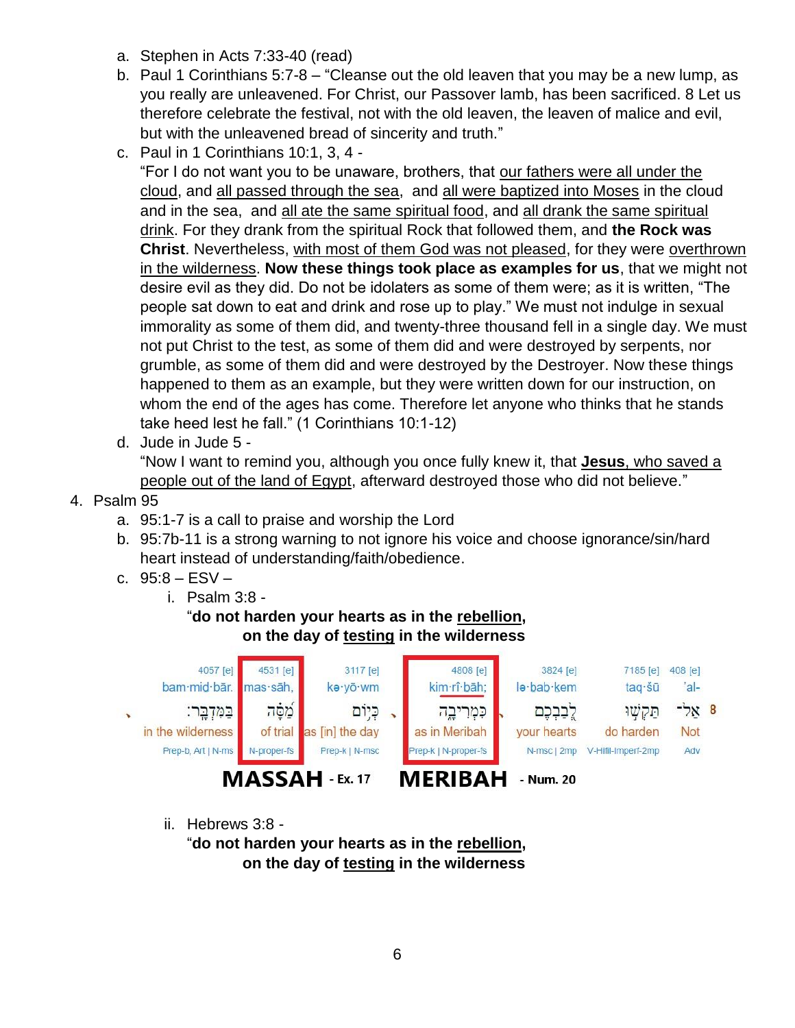- a. Stephen in Acts 7:33-40 (read)
- b. Paul 1 Corinthians 5:7-8 "Cleanse out the old leaven that you may be a new lump, as you really are unleavened. For Christ, our Passover lamb, has been sacrificed. 8 Let us therefore celebrate the festival, not with the old leaven, the leaven of malice and evil, but with the unleavened bread of sincerity and truth."
- c. Paul in 1 Corinthians 10:1, 3, 4 -

"For I do not want you to be unaware, brothers, that our fathers were all under the cloud, and all passed through the sea, and all were baptized into Moses in the cloud and in the sea, and all ate the same spiritual food, and all drank the same spiritual drink. For they drank from the spiritual Rock that followed them, and **the Rock was Christ**. Nevertheless, with most of them God was not pleased, for they were overthrown in the wilderness. **Now these things took place as examples for us**, that we might not desire evil as they did. Do not be idolaters as some of them were; as it is written, "The people sat down to eat and drink and rose up to play." We must not indulge in sexual immorality as some of them did, and twenty-three thousand fell in a single day. We must not put Christ to the test, as some of them did and were destroyed by serpents, nor grumble, as some of them did and were destroyed by the Destroyer. Now these things happened to them as an example, but they were written down for our instruction, on whom the end of the ages has come. Therefore let anyone who thinks that he stands take heed lest he fall." (1 Corinthians 10:1-12)

d. Jude in Jude 5 -

"Now I want to remind you, although you once fully knew it, that **Jesus**, who saved a people out of the land of Egypt, afterward destroyed those who did not believe."

- 4. Psalm 95
	- a. 95:1-7 is a call to praise and worship the Lord
	- b. 95:7b-11 is a strong warning to not ignore his voice and choose ignorance/sin/hard heart instead of understanding/faith/obedience.
	- c. 95:8 ESV
		- i. Psalm 3:8 -

"**do not harden your hearts as in the rebellion, on the day of testing in the wilderness**



ii. Hebrews 3:8 -

"**do not harden your hearts as in the rebellion, on the day of testing in the wilderness**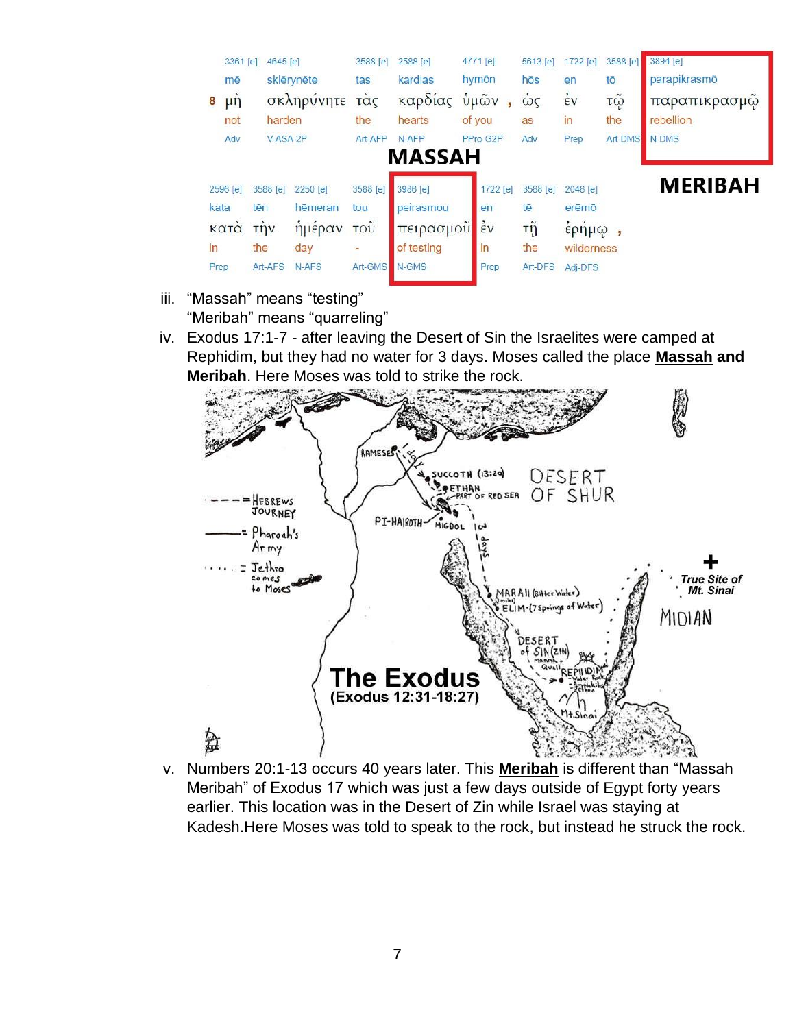

- iii. "Massah" means "testing" "Meribah" means "quarreling"
- iv. Exodus 17:1-7 after leaving the Desert of Sin the Israelites were camped at Rephidim, but they had no water for 3 days. Moses called the place **Massah and Meribah**. Here Moses was told to strike the rock.



v. Numbers 20:1-13 occurs 40 years later. This **Meribah** is different than "Massah Meribah" of Exodus 17 which was just a few days outside of Egypt forty years earlier. This location was in the Desert of Zin while Israel was staying at Kadesh.Here Moses was told to speak to the rock, but instead he struck the rock.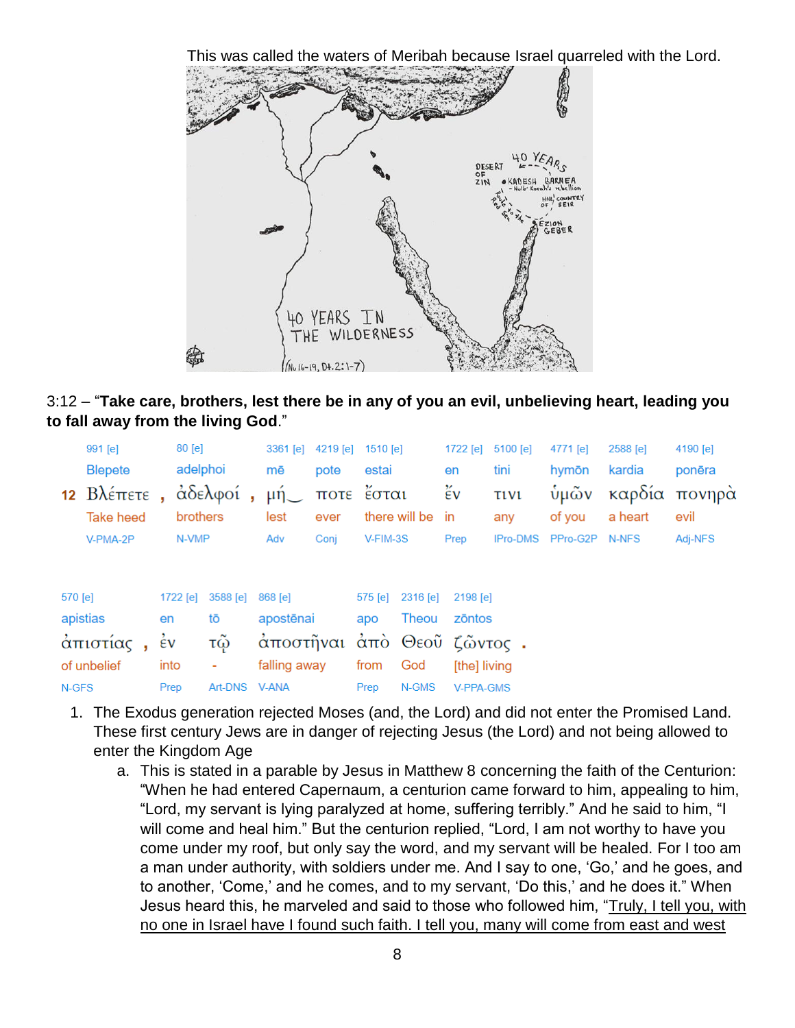This was called the waters of Meribah because Israel quarreled with the Lord.





|         | $991$ [e]            |                    | $80$ [e] |               |         | $3361$ [e]     | 4219 [e]  | 1510 [e]   |                  | 1722 [e]         | 5100 [e]        | 4771 [e]       | 2588 [e] | 4190 [e]      |
|---------|----------------------|--------------------|----------|---------------|---------|----------------|-----------|------------|------------------|------------------|-----------------|----------------|----------|---------------|
|         | <b>Blepete</b>       |                    | adelphoi |               | mē      |                | pote      | estai      |                  | en               | tini            | hymōn          | kardia   | ponēra        |
|         | 12 $B\lambda$ έπετε, |                    |          | άδελφοί,      |         | $\mu$ ή $\sim$ |           | ποτε έσται |                  | ἔν               | <b>TIV1</b>     | ύμῶν           |          | καρδία πονηρά |
|         | <b>Take heed</b>     |                    | brothers |               | lest    |                | ever      |            | there will be in |                  | any             | of you         | a heart  | evil          |
|         | V-PMA-2P             |                    | N-VMP    |               | Adv     |                | Conj      | V-FIM-3S   |                  | Prep             | <b>IPro-DMS</b> | PPro-G2P N-NFS |          | Adj-NFS       |
|         |                      |                    |          |               |         |                |           |            |                  |                  |                 |                |          |               |
|         |                      |                    |          |               |         |                |           |            |                  |                  |                 |                |          |               |
| 570 [e] |                      |                    | 1722 [e] | 3588 [e]      | 868 [e] |                |           | 575 [e]    | 2316 [e]         | 2198 [e]         |                 |                |          |               |
|         | apistias             | en                 |          | tō            |         | apostēnai      |           | apo        | Theou            | zōntos           |                 |                |          |               |
|         | άπιστίας,            | $\dot{\epsilon}$ v |          | τῷ            |         |                | άποστῆναι |            |                  | άπὸ Θεοῦ ζῶντος. |                 |                |          |               |
|         | of unbelief          | into               |          | ٠             |         | falling away   |           | from       | God              | [the] living     |                 |                |          |               |
| N-GFS   |                      | Prep               |          | Art-DNS V-ANA |         |                |           | Prep       | N-GMS            | V-PPA-GMS        |                 |                |          |               |

- 1. The Exodus generation rejected Moses (and, the Lord) and did not enter the Promised Land. These first century Jews are in danger of rejecting Jesus (the Lord) and not being allowed to enter the Kingdom Age
	- a. This is stated in a parable by Jesus in Matthew 8 concerning the faith of the Centurion: "When he had entered Capernaum, a centurion came forward to him, appealing to him, "Lord, my servant is lying paralyzed at home, suffering terribly." And he said to him, "I will come and heal him." But the centurion replied, "Lord, I am not worthy to have you come under my roof, but only say the word, and my servant will be healed. For I too am a man under authority, with soldiers under me. And I say to one, 'Go,' and he goes, and to another, 'Come,' and he comes, and to my servant, 'Do this,' and he does it." When Jesus heard this, he marveled and said to those who followed him, "Truly, I tell you, with no one in Israel have I found such faith. I tell you, many will come from east and west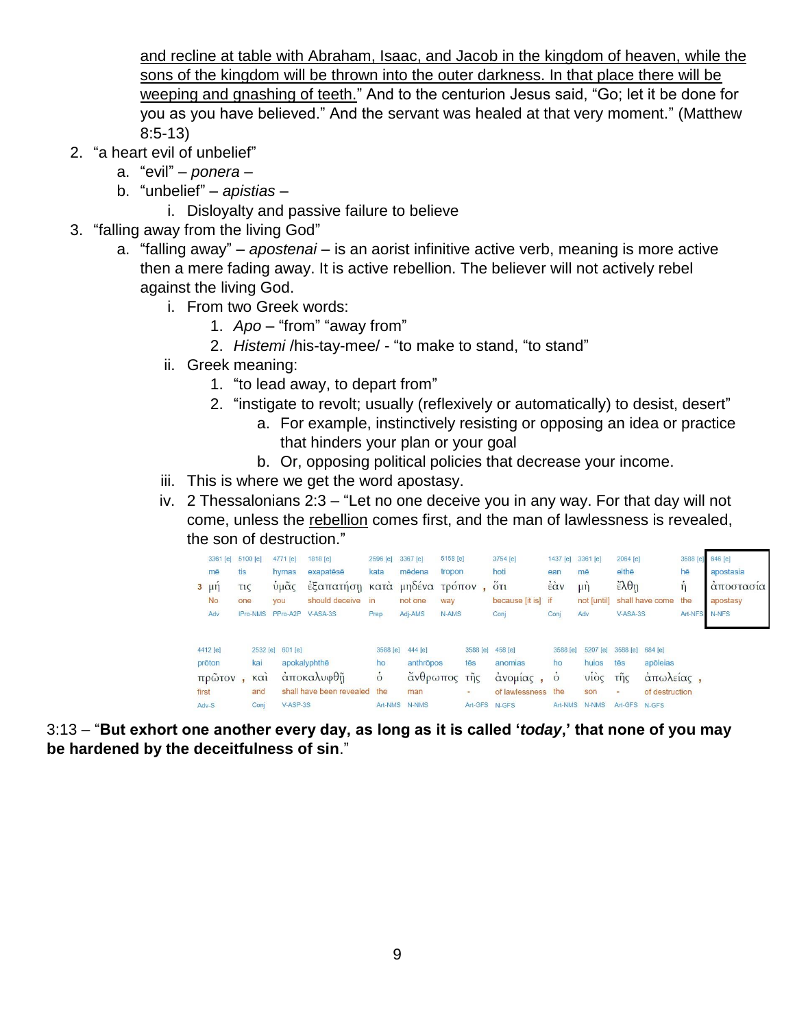and recline at table with Abraham, Isaac, and Jacob in the kingdom of heaven, while the sons of the kingdom will be thrown into the outer darkness. In that place there will be weeping and gnashing of teeth." And to the centurion Jesus said, "Go; let it be done for you as you have believed." And the servant was healed at that very moment." (Matthew 8:5-13)

- 2. "a heart evil of unbelief"
	- a. "evil" *ponera* –
	- b. "unbelief" *apistias*
		- i. Disloyalty and passive failure to believe
- 3. "falling away from the living God"
	- a. "falling away" *apostenai* is an aorist infinitive active verb, meaning is more active then a mere fading away. It is active rebellion. The believer will not actively rebel against the living God.
		- i. From two Greek words:
			- 1. *Apo* "from" "away from"
			- 2. *Histemi* /his-tay-mee/ "to make to stand, "to stand"
		- ii. Greek meaning:
			- 1. "to lead away, to depart from"
			- 2. "instigate to revolt; usually (reflexively or automatically) to desist, desert"
				- a. For example, instinctively resisting or opposing an idea or practice that hinders your plan or your goal
				- b. Or, opposing political policies that decrease your income.
		- iii. This is where we get the word apostasy.
		- iv. 2 Thessalonians 2:3 "Let no one deceive you in any way. For that day will not come, unless the rebellion comes first, and the man of lawlessness is revealed, the son of destruction."

| $3 \mu \eta$             | 3361 [e]<br>mē<br><b>No</b><br>Adv | tis<br><b>TIC</b><br>one | 5100 [e]<br><b>IPro-NMS</b>     | 4771 [e]<br>hymas<br>υμας<br><b>VOU</b><br>PPro-A2P | 1818 [e]<br>exapatēsē<br>έξαπατήση κατά μηδένα τρόπον,<br>should deceive<br>$V-ASA-3S$ | 2596 [e]<br>kata<br>in<br>Prep              | 3367 [e]<br>mēdena<br>not one<br>Adj-AMS                    | 5158 [e]<br>tropon<br>way<br>N-AMS |                                 | 3754 [e]<br>hoti<br>$5\tau_1$<br>because [it is] if<br>Conj | 1437 [e]<br>ean<br>έὰν<br>Conj               | 3361 [e]<br>mē<br>$\mu$ n<br>not [until]<br>Adv       | 2064 [e]<br>elthē<br>$\epsilon \lambda \theta$ η<br>$V-ASA-3S$      | shall have come                                      | 3588 [e]<br>hē<br>n<br>the<br>Art-NFS | 646 [e]<br>apostasia<br>αποστασία<br>apostasy<br>N-NFS |
|--------------------------|------------------------------------|--------------------------|---------------------------------|-----------------------------------------------------|----------------------------------------------------------------------------------------|---------------------------------------------|-------------------------------------------------------------|------------------------------------|---------------------------------|-------------------------------------------------------------|----------------------------------------------|-------------------------------------------------------|---------------------------------------------------------------------|------------------------------------------------------|---------------------------------------|--------------------------------------------------------|
| prōton<br>first<br>Adv-S | 4412 [e]<br>πρῶτον                 |                          | kai<br>$K\alpha$<br>and<br>Conj | 2532 [e] 601 [e]<br>apokalyphthe<br>V-ASP-3S        | αποκαλυφθῆ<br>shall have been revealed the                                             | 3588 [e]<br>ho<br>$\dot{\delta}$<br>Art-NMS | 444 [e]<br>anthropos<br>άνθρωπος τῆς<br>man<br><b>N-NMS</b> |                                    | 3588 [e]<br>tēs<br>-<br>Art-GFS | 458 [e]<br>anomias<br>άνομίας,<br>of lawlessness<br>N-GFS   | 3588 [e]<br>ho<br>$\delta$<br>the<br>Art-NMS | 5207 [e]<br>huios<br>vio <sub>5</sub><br>son<br>N-NMS | 3588 [e]<br>tēs<br>τῆς<br>$\overline{\phantom{a}}$<br>Art-GFS N-GFS | $684$ [e]<br>apõleias<br>άπωλείας.<br>of destruction |                                       |                                                        |

3:13 – "**But exhort one another every day, as long as it is called '***today***,' that none of you may be hardened by the deceitfulness of sin**."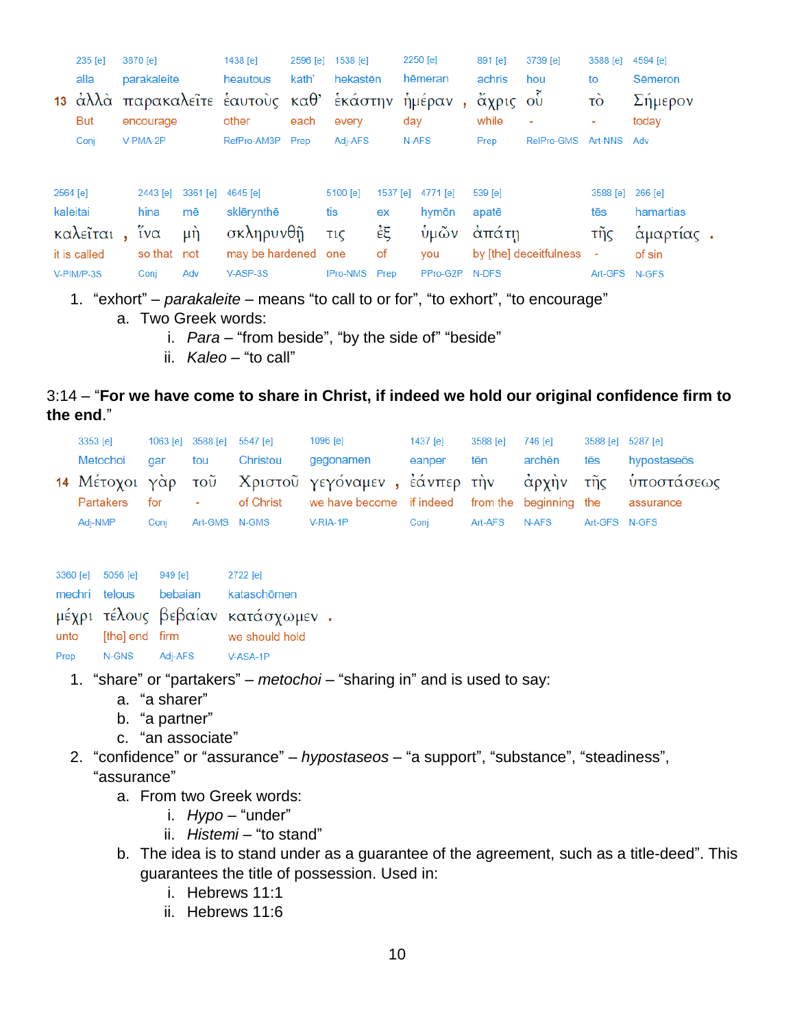|          | 235 [e]      | 3870 [e]    |            | 1438 [e]                                 | 2596 [e] | 1538 [e]   |          | 2250 [e] | 891 [e] | 3739 [e]               | 3588 [e]      | 4594 [e]  |
|----------|--------------|-------------|------------|------------------------------------------|----------|------------|----------|----------|---------|------------------------|---------------|-----------|
|          | alla         | parakaleite |            | heautous                                 | kath'    | hekastēn   |          | hēmeran  | achris  | hou                    | to            | Sēmeron   |
|          |              |             |            | 13 άλλά παρακαλεΐτε έαυτους καθ' έκάστην |          |            |          | ἡμέραν   | άχρις   | O <sup>U</sup>         | τò            | Σήμερον   |
|          | <b>But</b>   | encourage   |            | other                                    | each     | every      |          | day      | while   | $\blacksquare$         | ۰             | today     |
|          | Conj         | V-PMA-2P    |            | RefPro-AM3P                              | Prep     | Adj-AFS    |          | N-AFS    | Prep    | RelPro-GMS             | Art-NNS       | Adv       |
| 2564 [e] |              | 2443 [e]    | $3361$ [e] | 4645 [e]                                 |          | 5100 [e]   | 1537 [e] | 4771 [e] | 539 [e] |                        | 3588 [e]      | 266 [e]   |
| kaleitai |              | hina        | mē         | sklērynthē                               |          | tis        | ex       | hymōn    | apatē   |                        | tēs           | hamartias |
|          | καλεῖται     | ίνα         | μή         | σκληρυνθῆ                                |          | <b>τις</b> | ἐξ       | ύμῶν     | άπάτη   |                        | τῆς           | αμαρτίας  |
|          | it is called | so that     | not        | may be hardened                          |          | one        | οf       | you      |         | by [the] deceitfulness |               | of sin    |
|          | V-PIM/P-3S   | Conj        | Adv        | V-ASP-3S                                 |          | IPro-NMS   | Prep     | PPro-G2P | N-DFS   |                        | Art-GFS N-GFS |           |

- 1. "exhort" *parakaleite* means "to call to or for", "to exhort", "to encourage"
	- a. Two Greek words:
		- i. *Para* "from beside", "by the side of" "beside"
		- ii. *Kaleo* "to call"

# 3:14 – "**For we have come to share in Christ, if indeed we hold our original confidence firm to the end**."

| 3353 [e]         |      | 1063 [e] 3588 [e] 5547 [e] |               | 1096 [e]                                                                            | 1437 [e] | 3588 [e]      | 746 [e] | 3588 [e] 5287 [e] |             |
|------------------|------|----------------------------|---------------|-------------------------------------------------------------------------------------|----------|---------------|---------|-------------------|-------------|
| Metochoi gar tou |      |                            | Christou      | gegonamen                                                                           | eanper   | . tēn         | archēn  | tēs               | hypostaseōs |
|                  |      |                            |               | 14 Μέτοχοι γάρ τοῦ Χριστοῦ γεγόναμεν, ἐάνπερ την άρχην τῆς ὑποστάσεως               |          |               |         |                   |             |
|                  |      |                            |               | Partakers for - of Christ we have become if indeed from the beginning the assurance |          |               |         |                   |             |
| Adi-NMP          | Coni |                            | Art-GMS N-GMS | V-RIA-1P                                                                            | Conj     | Art-AFS N-AFS |         | Art-GFS N-GFS     |             |

| 3360 [e] 5056 [e] |                | 949 [e] | 2722 [e]                         |  |
|-------------------|----------------|---------|----------------------------------|--|
| mechri telous     |                | bebaian | kataschōmen                      |  |
|                   |                |         | μέχρι τέλους βεβαίαν κατάσχωμεν. |  |
| unto              | [the] end firm |         | we should hold                   |  |
| Prep              | N-GNS          | Adj-AFS | V-ASA-1P                         |  |

- 1. "share" or "partakers" *metochoi* "sharing in" and is used to say:
	- a. "a sharer"
	- b. "a partner"
	- c. "an associate"
- 2. "confidence" or "assurance" *hypostaseos* "a support", "substance", "steadiness", "assurance"
	- a. From two Greek words:
		- i. *Hypo* "under"
		- ii. *Histemi* "to stand"
	- b. The idea is to stand under as a guarantee of the agreement, such as a title-deed". This guarantees the title of possession. Used in:
		- i. Hebrews 11:1
		- ii. Hebrews 11:6